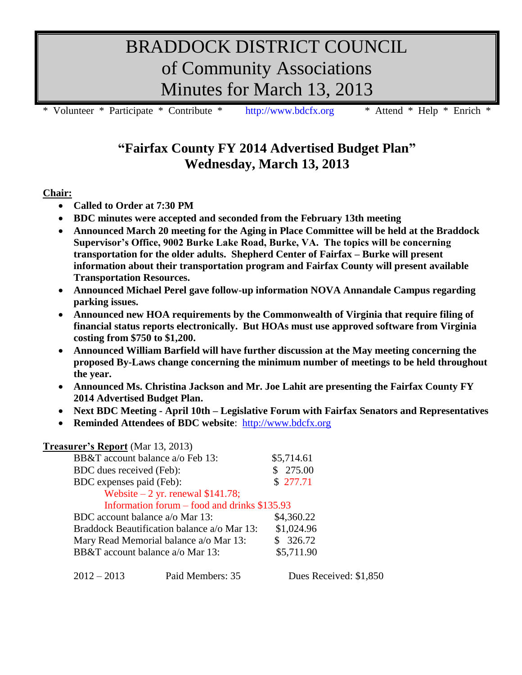# BRADDOCK DISTRICT COUNCIL of Community Associations Minutes for March 13, 2013

Volunteer \* Participate \* Contribute \* [http://www.bdcfx.org](http://www.bdcfx.org/) \* Attend \* Help \* Enrich \*

# **"Fairfax County FY 2014 Advertised Budget Plan" Wednesday, March 13, 2013**

# **Chair:**

- **Called to Order at 7:30 PM**
- **BDC minutes were accepted and seconded from the February 13th meeting**
- **Announced March 20 meeting for the Aging in Place Committee will be held at the Braddock Supervisor's Office, 9002 Burke Lake Road, Burke, VA. The topics will be concerning transportation for the older adults. Shepherd Center of Fairfax – Burke will present information about their transportation program and Fairfax County will present available Transportation Resources.**
- **Announced Michael Perel gave follow-up information NOVA Annandale Campus regarding parking issues.**
- **Announced new HOA requirements by the Commonwealth of Virginia that require filing of financial status reports electronically. But HOAs must use approved software from Virginia costing from \$750 to \$1,200.**
- **Announced William Barfield will have further discussion at the May meeting concerning the proposed By-Laws change concerning the minimum number of meetings to be held throughout the year.**
- **Announced Ms. Christina Jackson and Mr. Joe Lahit are presenting the Fairfax County FY 2014 Advertised Budget Plan.**
- **Next BDC Meeting - April 10th – Legislative Forum with Fairfax Senators and Representatives**
- **Reminded Attendees of BDC website**: [http://www.bdcfx.org](http://www.bdcfx.org/)

# **Treasurer's Report** (Mar 13, 2013)

| BB&T account balance a/o Feb 13:             | \$5,714.61 |
|----------------------------------------------|------------|
| BDC dues received (Feb):                     | \$275.00   |
| BDC expenses paid (Feb):                     | \$277.71   |
| Website $-2$ yr. renewal \$141.78;           |            |
| Information forum – food and drinks \$135.93 |            |
| BDC account balance a/o Mar 13:              | \$4,360.22 |
| Braddock Beautification balance a/o Mar 13:  | \$1,024.96 |
| Mary Read Memorial balance a/o Mar 13:       | \$326.72   |
| BB&T account balance a/o Mar 13:             | \$5,711.90 |
|                                              |            |

2012 – 2013 Paid Members: 35 Dues Received: \$1,850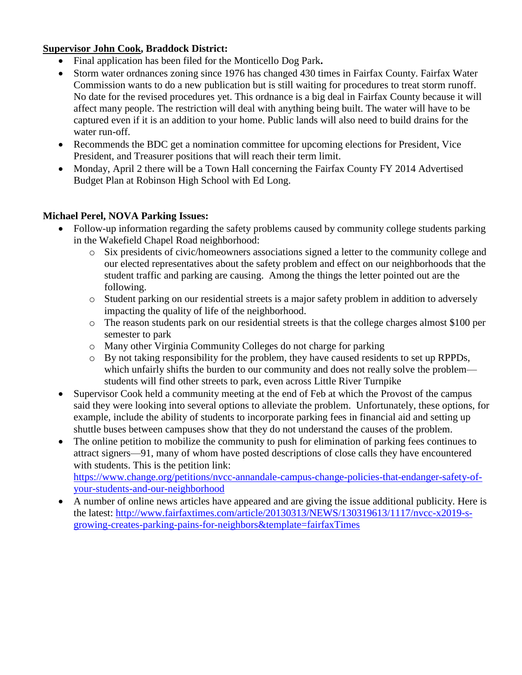#### **Supervisor John Cook, Braddock District:**

- Final application has been filed for the Monticello Dog Park**.**
- Storm water ordnances zoning since 1976 has changed 430 times in Fairfax County. Fairfax Water Commission wants to do a new publication but is still waiting for procedures to treat storm runoff. No date for the revised procedures yet. This ordnance is a big deal in Fairfax County because it will affect many people. The restriction will deal with anything being built. The water will have to be captured even if it is an addition to your home. Public lands will also need to build drains for the water run-off.
- Recommends the BDC get a nomination committee for upcoming elections for President, Vice President, and Treasurer positions that will reach their term limit.
- Monday, April 2 there will be a Town Hall concerning the Fairfax County FY 2014 Advertised Budget Plan at Robinson High School with Ed Long.

#### **Michael Perel, NOVA Parking Issues:**

- Follow-up information regarding the safety problems caused by community college students parking in the Wakefield Chapel Road neighborhood:
	- o Six presidents of civic/homeowners associations signed a letter to the community college and our elected representatives about the safety problem and effect on our neighborhoods that the student traffic and parking are causing. Among the things the letter pointed out are the following.
	- o Student parking on our residential streets is a major safety problem in addition to adversely impacting the quality of life of the neighborhood.
	- o The reason students park on our residential streets is that the college charges almost \$100 per semester to park
	- o Many other Virginia Community Colleges do not charge for parking
	- o By not taking responsibility for the problem, they have caused residents to set up RPPDs, which unfairly shifts the burden to our community and does not really solve the problem students will find other streets to park, even across Little River Turnpike
- Supervisor Cook held a community meeting at the end of Feb at which the Provost of the campus said they were looking into several options to alleviate the problem. Unfortunately, these options, for example, include the ability of students to incorporate parking fees in financial aid and setting up shuttle buses between campuses show that they do not understand the causes of the problem.
- The online petition to mobilize the community to push for elimination of parking fees continues to attract signers—91, many of whom have posted descriptions of close calls they have encountered with students. This is the petition link: [https://www.change.org/petitions/nvcc-annandale-campus-change-policies-that-endanger-safety-of](https://www.change.org/petitions/nvcc-annandale-campus-change-policies-that-endanger-safety-of-your-students-and-our-neighborhood)[your-students-and-our-neighborhood](https://www.change.org/petitions/nvcc-annandale-campus-change-policies-that-endanger-safety-of-your-students-and-our-neighborhood)
- A number of online news articles have appeared and are giving the issue additional publicity. Here is the latest: [http://www.fairfaxtimes.com/article/20130313/NEWS/130319613/1117/nvcc-x2019-s](http://www.fairfaxtimes.com/article/20130313/NEWS/130319613/1117/nvcc-x2019-s-growing-creates-parking-pains-for-neighbors&template=fairfaxTimes)[growing-creates-parking-pains-for-neighbors&template=fairfaxTimes](http://www.fairfaxtimes.com/article/20130313/NEWS/130319613/1117/nvcc-x2019-s-growing-creates-parking-pains-for-neighbors&template=fairfaxTimes)